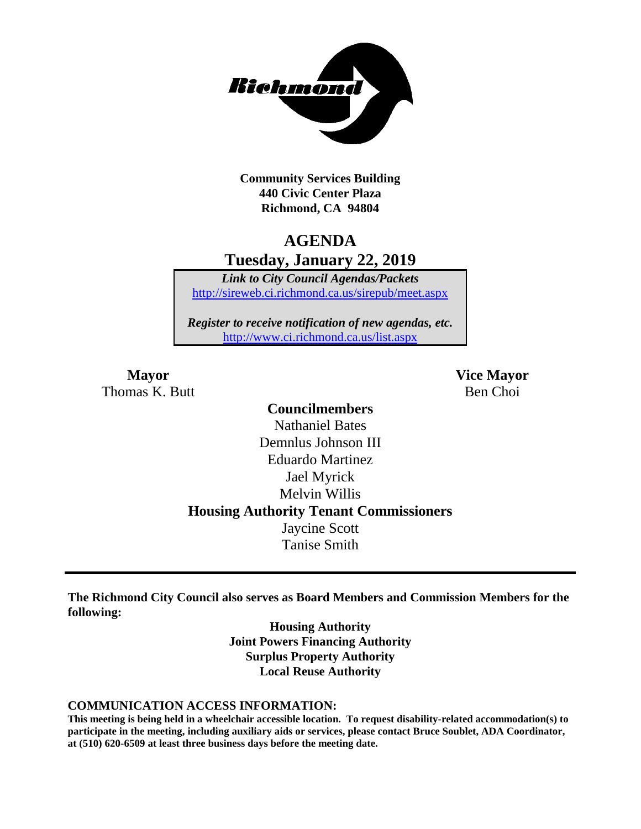

**Community Services Building 440 Civic Center Plaza Richmond, CA 94804**

## **AGENDA Tuesday, January 22, 2019**

*Link to City Council Agendas/Packets* <http://sireweb.ci.richmond.ca.us/sirepub/meet.aspx>

*Register to receive notification of new agendas, etc.* <http://www.ci.richmond.ca.us/list.aspx>

Thomas K. Butt Ben Choi

**Mayor Vice Mayor**

### **Councilmembers** Nathaniel Bates Demnlus Johnson III Eduardo Martinez Jael Myrick Melvin Willis **Housing Authority Tenant Commissioners** Jaycine Scott Tanise Smith

**The Richmond City Council also serves as Board Members and Commission Members for the following:**

> **Housing Authority Joint Powers Financing Authority Surplus Property Authority Local Reuse Authority**

#### **COMMUNICATION ACCESS INFORMATION:**

**This meeting is being held in a wheelchair accessible location. To request disability-related accommodation(s) to participate in the meeting, including auxiliary aids or services, please contact Bruce Soublet, ADA Coordinator, at (510) 620-6509 at least three business days before the meeting date.**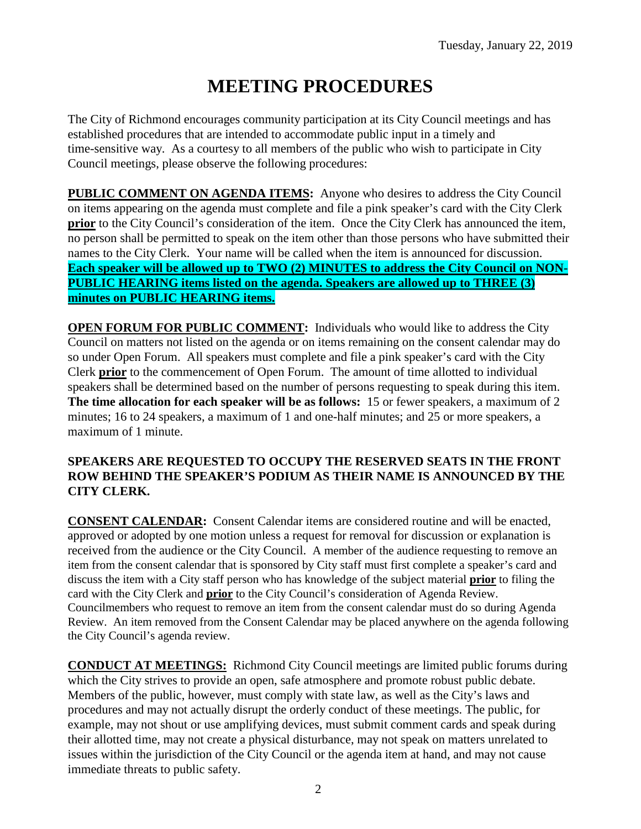# **MEETING PROCEDURES**

The City of Richmond encourages community participation at its City Council meetings and has established procedures that are intended to accommodate public input in a timely and time-sensitive way. As a courtesy to all members of the public who wish to participate in City Council meetings, please observe the following procedures:

**PUBLIC COMMENT ON AGENDA ITEMS:** Anyone who desires to address the City Council on items appearing on the agenda must complete and file a pink speaker's card with the City Clerk **prior** to the City Council's consideration of the item. Once the City Clerk has announced the item, no person shall be permitted to speak on the item other than those persons who have submitted their names to the City Clerk. Your name will be called when the item is announced for discussion. **Each speaker will be allowed up to TWO (2) MINUTES to address the City Council on NON-PUBLIC HEARING items listed on the agenda. Speakers are allowed up to THREE (3) minutes on PUBLIC HEARING items.**

**OPEN FORUM FOR PUBLIC COMMENT:** Individuals who would like to address the City Council on matters not listed on the agenda or on items remaining on the consent calendar may do so under Open Forum. All speakers must complete and file a pink speaker's card with the City Clerk **prior** to the commencement of Open Forum. The amount of time allotted to individual speakers shall be determined based on the number of persons requesting to speak during this item. **The time allocation for each speaker will be as follows:** 15 or fewer speakers, a maximum of 2 minutes; 16 to 24 speakers, a maximum of 1 and one-half minutes; and 25 or more speakers, a maximum of 1 minute.

#### **SPEAKERS ARE REQUESTED TO OCCUPY THE RESERVED SEATS IN THE FRONT ROW BEHIND THE SPEAKER'S PODIUM AS THEIR NAME IS ANNOUNCED BY THE CITY CLERK.**

**CONSENT CALENDAR:** Consent Calendar items are considered routine and will be enacted, approved or adopted by one motion unless a request for removal for discussion or explanation is received from the audience or the City Council. A member of the audience requesting to remove an item from the consent calendar that is sponsored by City staff must first complete a speaker's card and discuss the item with a City staff person who has knowledge of the subject material **prior** to filing the card with the City Clerk and **prior** to the City Council's consideration of Agenda Review. Councilmembers who request to remove an item from the consent calendar must do so during Agenda Review. An item removed from the Consent Calendar may be placed anywhere on the agenda following the City Council's agenda review.

**CONDUCT AT MEETINGS:** Richmond City Council meetings are limited public forums during which the City strives to provide an open, safe atmosphere and promote robust public debate. Members of the public, however, must comply with state law, as well as the City's laws and procedures and may not actually disrupt the orderly conduct of these meetings. The public, for example, may not shout or use amplifying devices, must submit comment cards and speak during their allotted time, may not create a physical disturbance, may not speak on matters unrelated to issues within the jurisdiction of the City Council or the agenda item at hand, and may not cause immediate threats to public safety.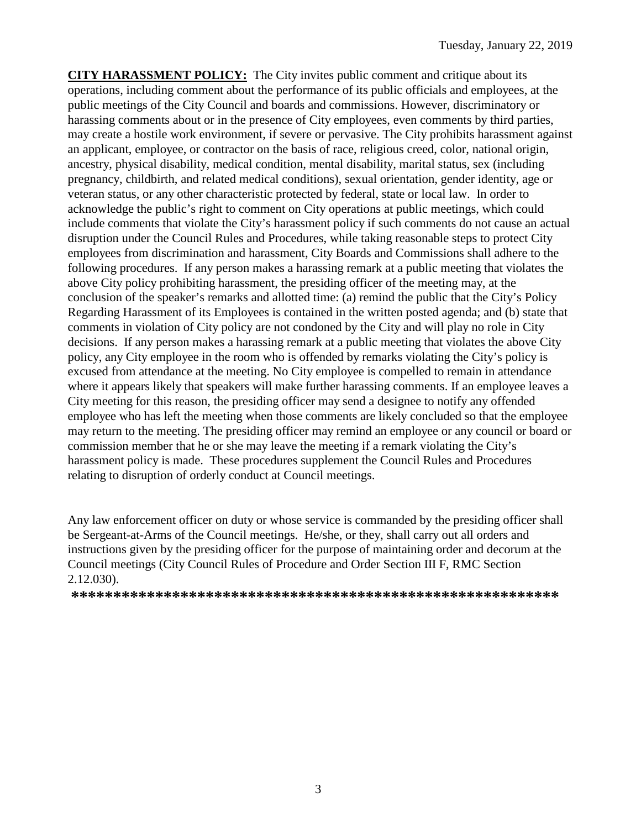**CITY HARASSMENT POLICY:** The City invites public comment and critique about its operations, including comment about the performance of its public officials and employees, at the public meetings of the City Council and boards and commissions. However, discriminatory or harassing comments about or in the presence of City employees, even comments by third parties, may create a hostile work environment, if severe or pervasive. The City prohibits harassment against an applicant, employee, or contractor on the basis of race, religious creed, color, national origin, ancestry, physical disability, medical condition, mental disability, marital status, sex (including pregnancy, childbirth, and related medical conditions), sexual orientation, gender identity, age or veteran status, or any other characteristic protected by federal, state or local law. In order to acknowledge the public's right to comment on City operations at public meetings, which could include comments that violate the City's harassment policy if such comments do not cause an actual disruption under the Council Rules and Procedures, while taking reasonable steps to protect City employees from discrimination and harassment, City Boards and Commissions shall adhere to the following procedures. If any person makes a harassing remark at a public meeting that violates the above City policy prohibiting harassment, the presiding officer of the meeting may, at the conclusion of the speaker's remarks and allotted time: (a) remind the public that the City's Policy Regarding Harassment of its Employees is contained in the written posted agenda; and (b) state that comments in violation of City policy are not condoned by the City and will play no role in City decisions. If any person makes a harassing remark at a public meeting that violates the above City policy, any City employee in the room who is offended by remarks violating the City's policy is excused from attendance at the meeting. No City employee is compelled to remain in attendance where it appears likely that speakers will make further harassing comments. If an employee leaves a City meeting for this reason, the presiding officer may send a designee to notify any offended employee who has left the meeting when those comments are likely concluded so that the employee may return to the meeting. The presiding officer may remind an employee or any council or board or commission member that he or she may leave the meeting if a remark violating the City's harassment policy is made. These procedures supplement the Council Rules and Procedures relating to disruption of orderly conduct at Council meetings.

Any law enforcement officer on duty or whose service is commanded by the presiding officer shall be Sergeant-at-Arms of the Council meetings. He/she, or they, shall carry out all orders and instructions given by the presiding officer for the purpose of maintaining order and decorum at the Council meetings (City Council Rules of Procedure and Order Section III F, RMC Section 2.12.030).

**\*\*\*\*\*\*\*\*\*\*\*\*\*\*\*\*\*\*\*\*\*\*\*\*\*\*\*\*\*\*\*\*\*\*\*\*\*\*\*\*\*\*\*\*\*\*\*\*\*\*\*\*\*\*\*\*\*\***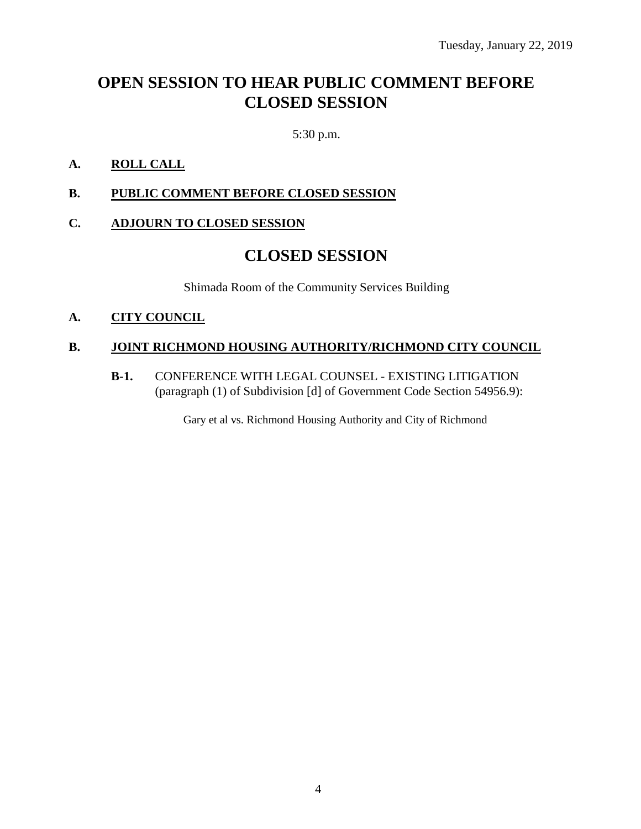## **OPEN SESSION TO HEAR PUBLIC COMMENT BEFORE CLOSED SESSION**

5:30 p.m.

#### **A. ROLL CALL**

**B. PUBLIC COMMENT BEFORE CLOSED SESSION**

#### **C. ADJOURN TO CLOSED SESSION**

### **CLOSED SESSION**

Shimada Room of the Community Services Building

#### **A. CITY COUNCIL**

#### **B. JOINT RICHMOND HOUSING AUTHORITY/RICHMOND CITY COUNCIL**

**B-1.** CONFERENCE WITH LEGAL COUNSEL - EXISTING LITIGATION (paragraph (1) of Subdivision [d] of Government Code Section 54956.9):

Gary et al vs. Richmond Housing Authority and City of Richmond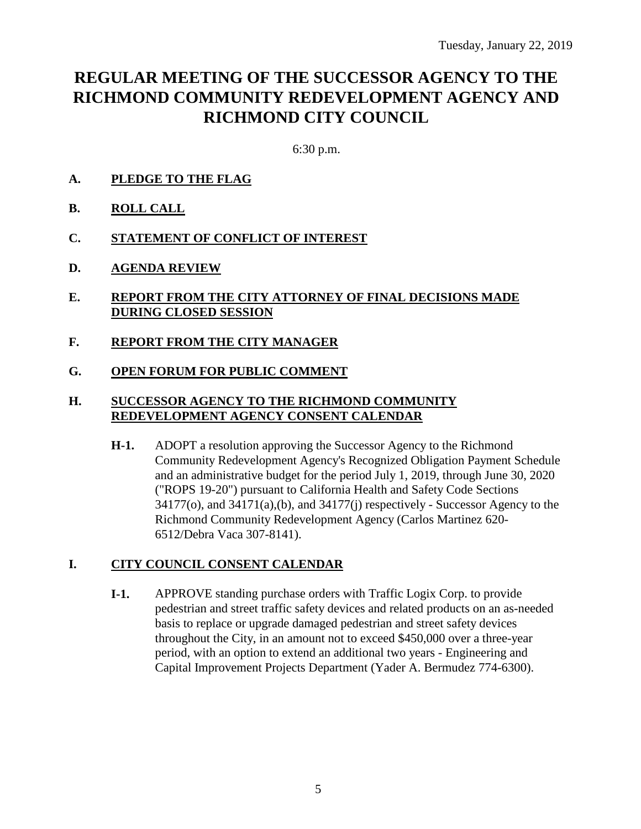## **REGULAR MEETING OF THE SUCCESSOR AGENCY TO THE RICHMOND COMMUNITY REDEVELOPMENT AGENCY AND RICHMOND CITY COUNCIL**

6:30 p.m.

- **A. PLEDGE TO THE FLAG**
- **B. ROLL CALL**
- **C. STATEMENT OF CONFLICT OF INTEREST**
- **D. AGENDA REVIEW**
- **E. REPORT FROM THE CITY ATTORNEY OF FINAL DECISIONS MADE DURING CLOSED SESSION**
- **F. REPORT FROM THE CITY MANAGER**
- **G. OPEN FORUM FOR PUBLIC COMMENT**

#### **H. SUCCESSOR AGENCY TO THE RICHMOND COMMUNITY REDEVELOPMENT AGENCY CONSENT CALENDAR**

**H-1.** ADOPT a resolution approving the Successor Agency to the Richmond Community Redevelopment Agency's Recognized Obligation Payment Schedule and an administrative budget for the period July 1, 2019, through June 30, 2020 ("ROPS 19-20") pursuant to California Health and Safety Code Sections 34177(o), and 34171(a),(b), and 34177(j) respectively - Successor Agency to the Richmond Community Redevelopment Agency (Carlos Martinez 620- 6512/Debra Vaca 307-8141).

#### **I. CITY COUNCIL CONSENT CALENDAR**

**I-1.** APPROVE standing purchase orders with Traffic Logix Corp. to provide pedestrian and street traffic safety devices and related products on an as-needed basis to replace or upgrade damaged pedestrian and street safety devices throughout the City, in an amount not to exceed \$450,000 over a three-year period, with an option to extend an additional two years - Engineering and Capital Improvement Projects Department (Yader A. Bermudez 774-6300).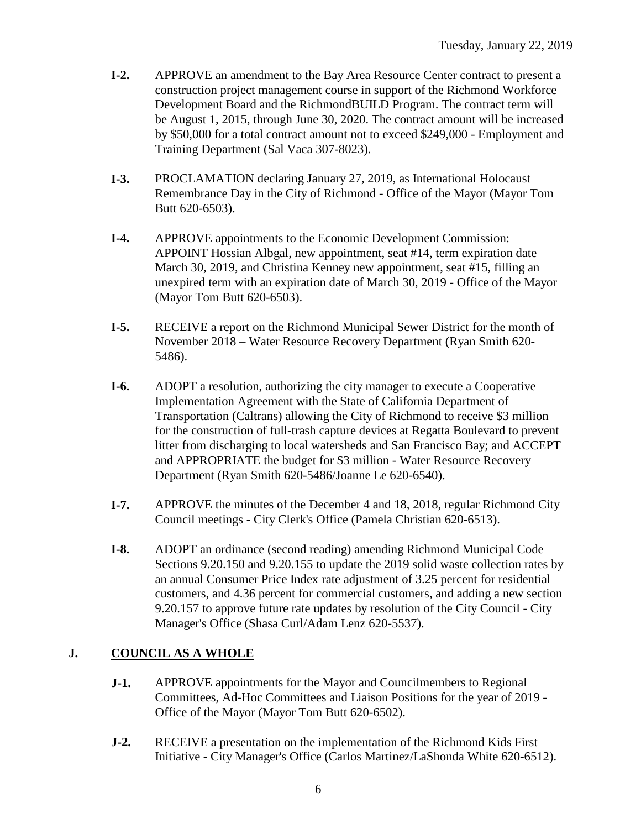- **I-2.** APPROVE an amendment to the Bay Area Resource Center contract to present a construction project management course in support of the Richmond Workforce Development Board and the RichmondBUILD Program. The contract term will be August 1, 2015, through June 30, 2020. The contract amount will be increased by \$50,000 for a total contract amount not to exceed \$249,000 - Employment and Training Department (Sal Vaca 307-8023).
- **I-3.** PROCLAMATION declaring January 27, 2019, as International Holocaust Remembrance Day in the City of Richmond - Office of the Mayor (Mayor Tom Butt 620-6503).
- **I-4.** APPROVE appointments to the Economic Development Commission: APPOINT Hossian Albgal, new appointment, seat #14, term expiration date March 30, 2019, and Christina Kenney new appointment, seat #15, filling an unexpired term with an expiration date of March 30, 2019 - Office of the Mayor (Mayor Tom Butt 620-6503).
- **I-5.** RECEIVE a report on the Richmond Municipal Sewer District for the month of November 2018 – Water Resource Recovery Department (Ryan Smith 620- 5486).
- **I-6.** ADOPT a resolution, authorizing the city manager to execute a Cooperative Implementation Agreement with the State of California Department of Transportation (Caltrans) allowing the City of Richmond to receive \$3 million for the construction of full-trash capture devices at Regatta Boulevard to prevent litter from discharging to local watersheds and San Francisco Bay; and ACCEPT and APPROPRIATE the budget for \$3 million - Water Resource Recovery Department (Ryan Smith 620-5486/Joanne Le 620-6540).
- **I-7.** APPROVE the minutes of the December 4 and 18, 2018, regular Richmond City Council meetings - City Clerk's Office (Pamela Christian 620-6513).
- **I-8.** ADOPT an ordinance (second reading) amending Richmond Municipal Code Sections 9.20.150 and 9.20.155 to update the 2019 solid waste collection rates by an annual Consumer Price Index rate adjustment of 3.25 percent for residential customers, and 4.36 percent for commercial customers, and adding a new section 9.20.157 to approve future rate updates by resolution of the City Council - City Manager's Office (Shasa Curl/Adam Lenz 620-5537).

### **J. COUNCIL AS A WHOLE**

- **J-1.** APPROVE appointments for the Mayor and Councilmembers to Regional Committees, Ad-Hoc Committees and Liaison Positions for the year of 2019 - Office of the Mayor (Mayor Tom Butt 620-6502).
- **J-2.** RECEIVE a presentation on the implementation of the Richmond Kids First Initiative - City Manager's Office (Carlos Martinez/LaShonda White 620-6512).